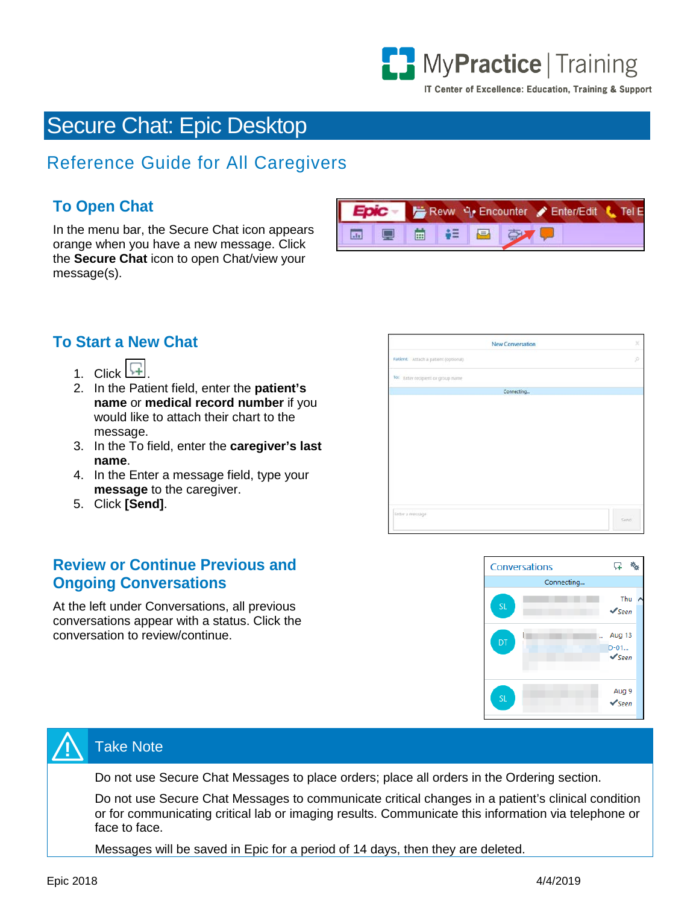

IT Center of Excellence: Education, Training & Support

# Secure Chat: Epic Desktop

## Reference Guide for All Caregivers

### **To Open Chat**

In the menu bar, the Secure Chat icon appears orange when you have a new message. Click the **Secure Chat** icon to open Chat/view your message(s).



#### **To Start a New Chat**

- 1. Click  $L$
- 2. In the Patient field, enter the **patient's name** or **medical record number** if you would like to attach their chart to the message.
- 3. In the To field, enter the **caregiver's last name**.
- 4. In the Enter a message field, type your **message** to the caregiver.
- 5. Click **[Send]**.

#### **Review or Continue Previous and Ongoing Conversations**

At the left under Conversations, all previous conversations appear with a status. Click the conversation to review/continue.

| New Conversation                     | ×    |
|--------------------------------------|------|
| Patient: Attach a patient (optional) | ø    |
| To: Enter recipient or group name    |      |
| Connecting                           |      |
|                                      |      |
|                                      |      |
|                                      |      |
|                                      |      |
|                                      |      |
|                                      |      |
|                                      |      |
|                                      |      |
|                                      |      |
| Enter a message                      |      |
|                                      | Send |





#### Take Note

Do not use Secure Chat Messages to place orders; place all orders in the Ordering section.

Do not use Secure Chat Messages to communicate critical changes in a patient's clinical condition or for communicating critical lab or imaging results. Communicate this information via telephone or face to face.

Messages will be saved in Epic for a period of 14 days, then they are deleted.